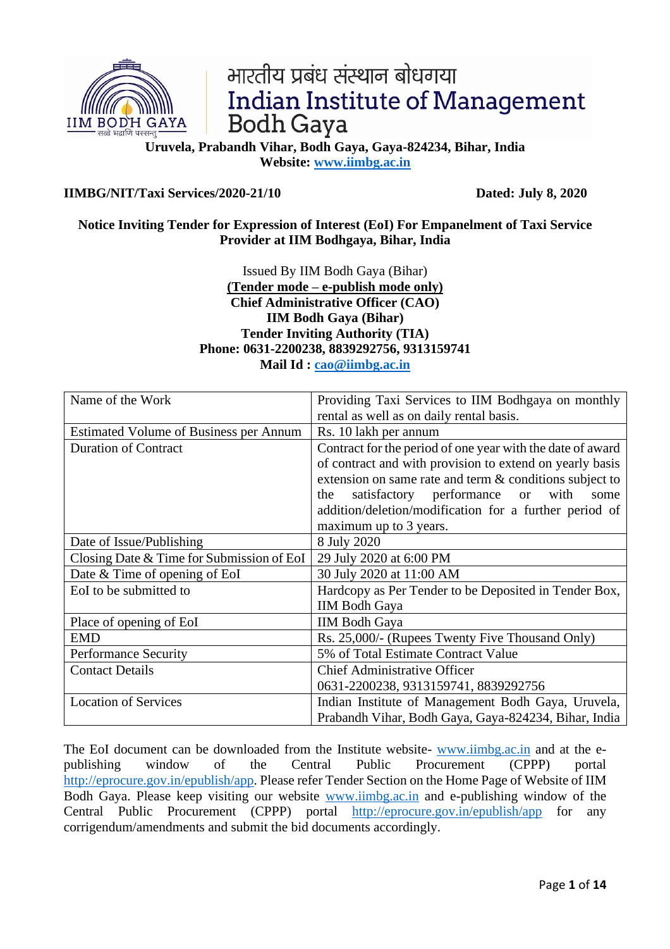

# भारतीय प्रबंध संस्थान बोधगया **Indian Institute of Management Bodh Gaya**

**Uruvela, Prabandh Vihar, Bodh Gaya, Gaya-824234, Bihar, India Website: [www.iimbg.ac.in](http://www.iimbg.ac.in/)**

## **IIMBG/NIT/Taxi Services/2020-21/10 Dated: July 8, 2020**

## **Notice Inviting Tender for Expression of Interest (EoI) For Empanelment of Taxi Service Provider at IIM Bodhgaya, Bihar, India**

Issued By IIM Bodh Gaya (Bihar) **(Tender mode – e-publish mode only) Chief Administrative Officer (CAO) IIM Bodh Gaya (Bihar) Tender Inviting Authority (TIA) Phone: 0631-2200238, 8839292756, 9313159741 Mail Id : [cao@iimbg.ac.in](mailto:cao@iimbg.ac.in)**

| Name of the Work                              | Providing Taxi Services to IIM Bodhgaya on monthly         |  |  |
|-----------------------------------------------|------------------------------------------------------------|--|--|
|                                               | rental as well as on daily rental basis.                   |  |  |
| <b>Estimated Volume of Business per Annum</b> | Rs. 10 lakh per annum                                      |  |  |
| <b>Duration of Contract</b>                   | Contract for the period of one year with the date of award |  |  |
|                                               | of contract and with provision to extend on yearly basis   |  |  |
|                                               | extension on same rate and term $\&$ conditions subject to |  |  |
|                                               | satisfactory performance<br>or with<br>some<br>the         |  |  |
|                                               | addition/deletion/modification for a further period of     |  |  |
|                                               | maximum up to 3 years.                                     |  |  |
| Date of Issue/Publishing                      | 8 July 2020                                                |  |  |
| Closing Date & Time for Submission of EoI     | 29 July 2020 at 6:00 PM                                    |  |  |
| Date & Time of opening of EoI                 | 30 July 2020 at 11:00 AM                                   |  |  |
| EoI to be submitted to                        | Hardcopy as Per Tender to be Deposited in Tender Box,      |  |  |
|                                               | <b>IIM Bodh Gaya</b>                                       |  |  |
| Place of opening of EoI                       | <b>IIM Bodh Gaya</b>                                       |  |  |
| <b>EMD</b>                                    | Rs. 25,000/- (Rupees Twenty Five Thousand Only)            |  |  |
| <b>Performance Security</b>                   | 5% of Total Estimate Contract Value                        |  |  |
| <b>Contact Details</b>                        | <b>Chief Administrative Officer</b>                        |  |  |
|                                               | 0631-2200238, 9313159741, 8839292756                       |  |  |
| <b>Location of Services</b>                   | Indian Institute of Management Bodh Gaya, Uruvela,         |  |  |
|                                               | Prabandh Vihar, Bodh Gaya, Gaya-824234, Bihar, India       |  |  |

The EoI document can be downloaded from the Institute website- [www.iimbg.ac.in](http://www.iimbg.ac.in/) and at the epublishing window of the Central Public Procurement (CPPP) portal [http://eprocure.gov.in/epublish/app.](http://eprocure.gov.in/epublish/app) Please refer Tender Section on the Home Page of Website of IIM Bodh Gaya. Please keep visiting our website [www.iimbg.ac.in](http://www.iimbg.ac.in/) and e-publishing window of the Central Public Procurement (CPPP) portal <http://eprocure.gov.in/epublish/app> for any corrigendum/amendments and submit the bid documents accordingly.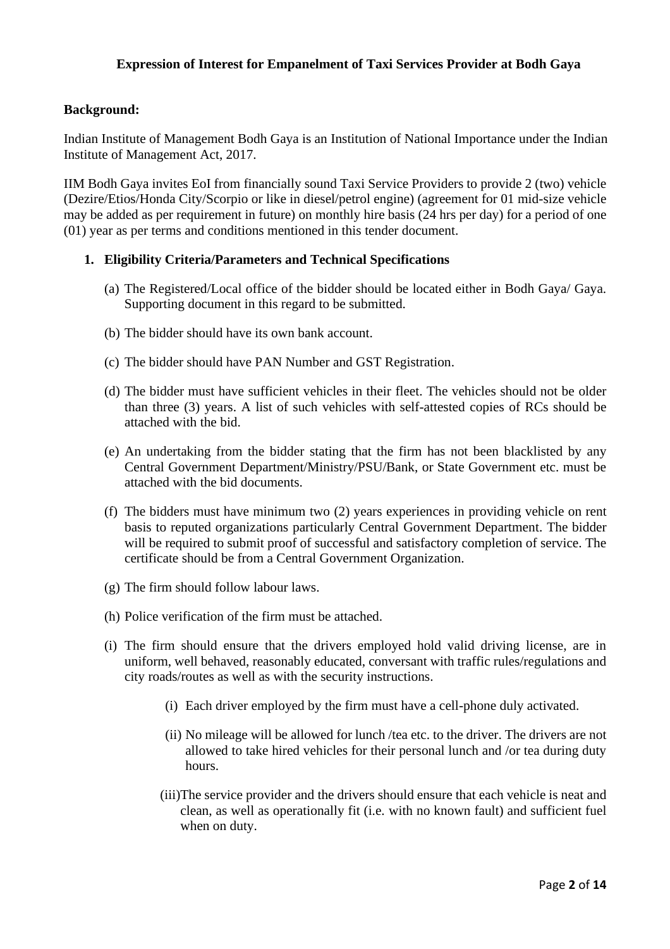## **Expression of Interest for Empanelment of Taxi Services Provider at Bodh Gaya**

#### **Background:**

Indian Institute of Management Bodh Gaya is an Institution of National Importance under the Indian Institute of Management Act, 2017.

IIM Bodh Gaya invites EoI from financially sound Taxi Service Providers to provide 2 (two) vehicle (Dezire/Etios/Honda City/Scorpio or like in diesel/petrol engine) (agreement for 01 mid-size vehicle may be added as per requirement in future) on monthly hire basis (24 hrs per day) for a period of one (01) year as per terms and conditions mentioned in this tender document.

#### **1. Eligibility Criteria/Parameters and Technical Specifications**

- (a) The Registered/Local office of the bidder should be located either in Bodh Gaya/ Gaya. Supporting document in this regard to be submitted.
- (b) The bidder should have its own bank account.
- (c) The bidder should have PAN Number and GST Registration.
- (d) The bidder must have sufficient vehicles in their fleet. The vehicles should not be older than three (3) years. A list of such vehicles with self-attested copies of RCs should be attached with the bid.
- (e) An undertaking from the bidder stating that the firm has not been blacklisted by any Central Government Department/Ministry/PSU/Bank, or State Government etc. must be attached with the bid documents.
- (f) The bidders must have minimum two (2) years experiences in providing vehicle on rent basis to reputed organizations particularly Central Government Department. The bidder will be required to submit proof of successful and satisfactory completion of service. The certificate should be from a Central Government Organization.
- (g) The firm should follow labour laws.
- (h) Police verification of the firm must be attached.
- (i) The firm should ensure that the drivers employed hold valid driving license, are in uniform, well behaved, reasonably educated, conversant with traffic rules/regulations and city roads/routes as well as with the security instructions.
	- (i) Each driver employed by the firm must have a cell-phone duly activated.
	- (ii) No mileage will be allowed for lunch /tea etc. to the driver. The drivers are not allowed to take hired vehicles for their personal lunch and /or tea during duty hours.
	- (iii)The service provider and the drivers should ensure that each vehicle is neat and clean, as well as operationally fit (i.e. with no known fault) and sufficient fuel when on duty.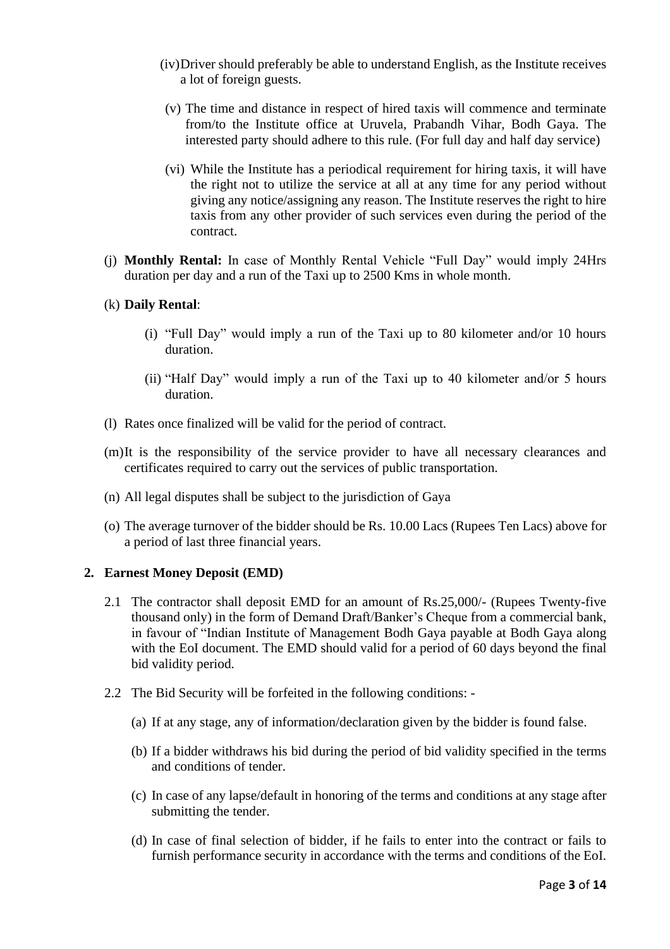- (iv)Driver should preferably be able to understand English, as the Institute receives a lot of foreign guests.
- (v) The time and distance in respect of hired taxis will commence and terminate from/to the Institute office at Uruvela, Prabandh Vihar, Bodh Gaya. The interested party should adhere to this rule. (For full day and half day service)
- (vi) While the Institute has a periodical requirement for hiring taxis, it will have the right not to utilize the service at all at any time for any period without giving any notice/assigning any reason. The Institute reserves the right to hire taxis from any other provider of such services even during the period of the contract.
- (j) **Monthly Rental:** In case of Monthly Rental Vehicle "Full Day" would imply 24Hrs duration per day and a run of the Taxi up to 2500 Kms in whole month.
- (k) **Daily Rental**:
	- (i) "Full Day" would imply a run of the Taxi up to 80 kilometer and/or 10 hours duration.
	- (ii) "Half Day" would imply a run of the Taxi up to 40 kilometer and/or 5 hours duration.
- (l) Rates once finalized will be valid for the period of contract.
- (m)It is the responsibility of the service provider to have all necessary clearances and certificates required to carry out the services of public transportation.
- (n) All legal disputes shall be subject to the jurisdiction of Gaya
- (o) The average turnover of the bidder should be Rs. 10.00 Lacs (Rupees Ten Lacs) above for a period of last three financial years.

#### **2. Earnest Money Deposit (EMD)**

- 2.1 The contractor shall deposit EMD for an amount of Rs.25,000/- (Rupees Twenty-five thousand only) in the form of Demand Draft/Banker's Cheque from a commercial bank, in favour of "Indian Institute of Management Bodh Gaya payable at Bodh Gaya along with the EoI document. The EMD should valid for a period of 60 days beyond the final bid validity period.
- 2.2 The Bid Security will be forfeited in the following conditions:
	- (a) If at any stage, any of information/declaration given by the bidder is found false.
	- (b) If a bidder withdraws his bid during the period of bid validity specified in the terms and conditions of tender.
	- (c) In case of any lapse/default in honoring of the terms and conditions at any stage after submitting the tender.
	- (d) In case of final selection of bidder, if he fails to enter into the contract or fails to furnish performance security in accordance with the terms and conditions of the EoI.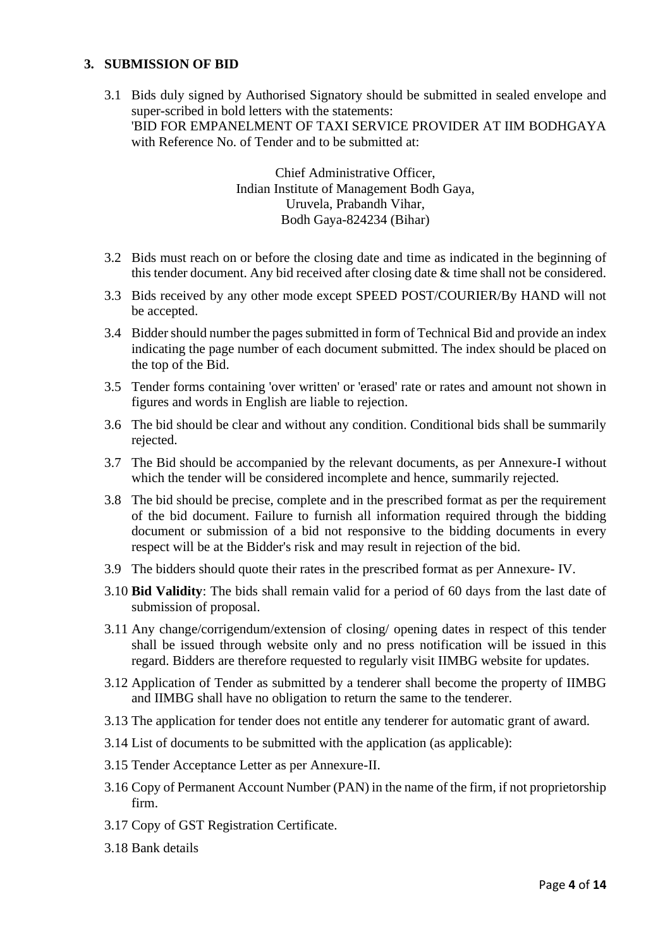## **3. SUBMISSION OF BID**

3.1 Bids duly signed by Authorised Signatory should be submitted in sealed envelope and super-scribed in bold letters with the statements: 'BID FOR EMPANELMENT OF TAXI SERVICE PROVIDER AT IIM BODHGAYA with Reference No. of Tender and to be submitted at:

> Chief Administrative Officer, Indian Institute of Management Bodh Gaya, Uruvela, Prabandh Vihar, Bodh Gaya-824234 (Bihar)

- 3.2 Bids must reach on or before the closing date and time as indicated in the beginning of this tender document. Any bid received after closing date & time shall not be considered.
- 3.3 Bids received by any other mode except SPEED POST/COURIER/By HAND will not be accepted.
- 3.4 Bidder should number the pages submitted in form of Technical Bid and provide an index indicating the page number of each document submitted. The index should be placed on the top of the Bid.
- 3.5 Tender forms containing 'over written' or 'erased' rate or rates and amount not shown in figures and words in English are liable to rejection.
- 3.6 The bid should be clear and without any condition. Conditional bids shall be summarily rejected.
- 3.7 The Bid should be accompanied by the relevant documents, as per Annexure-I without which the tender will be considered incomplete and hence, summarily rejected.
- 3.8 The bid should be precise, complete and in the prescribed format as per the requirement of the bid document. Failure to furnish all information required through the bidding document or submission of a bid not responsive to the bidding documents in every respect will be at the Bidder's risk and may result in rejection of the bid.
- 3.9 The bidders should quote their rates in the prescribed format as per Annexure- IV.
- 3.10 **Bid Validity**: The bids shall remain valid for a period of 60 days from the last date of submission of proposal.
- 3.11 Any change/corrigendum/extension of closing/ opening dates in respect of this tender shall be issued through website only and no press notification will be issued in this regard. Bidders are therefore requested to regularly visit IIMBG website for updates.
- 3.12 Application of Tender as submitted by a tenderer shall become the property of IIMBG and IIMBG shall have no obligation to return the same to the tenderer.
- 3.13 The application for tender does not entitle any tenderer for automatic grant of award.
- 3.14 List of documents to be submitted with the application (as applicable):
- 3.15 Tender Acceptance Letter as per Annexure-II.
- 3.16 Copy of Permanent Account Number (PAN) in the name of the firm, if not proprietorship firm.
- 3.17 Copy of GST Registration Certificate.
- 3.18 Bank details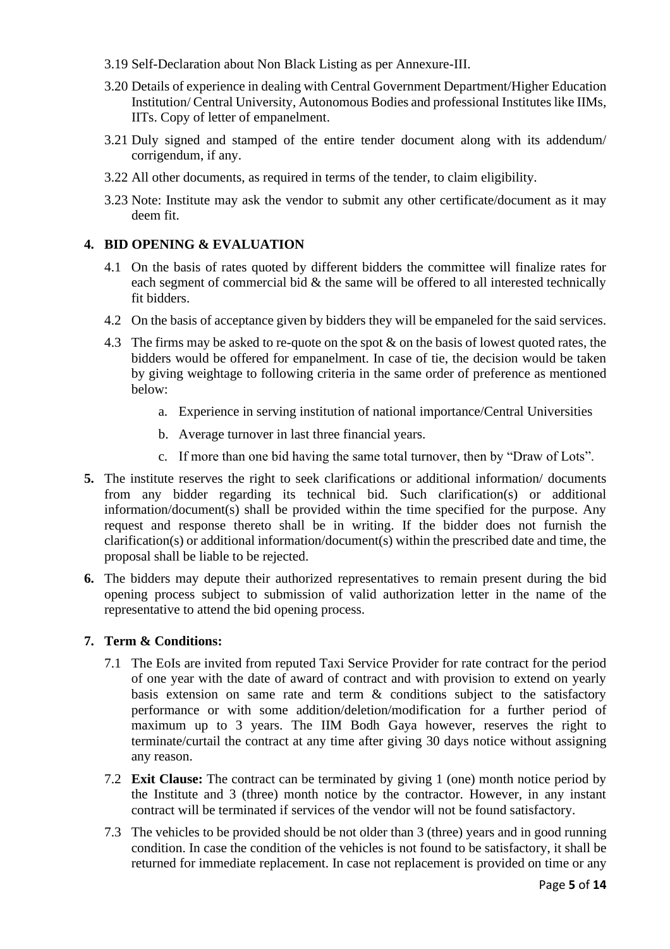- 3.19 Self-Declaration about Non Black Listing as per Annexure-III.
- 3.20 Details of experience in dealing with Central Government Department/Higher Education Institution/ Central University, Autonomous Bodies and professional Institutes like IIMs, IITs. Copy of letter of empanelment.
- 3.21 Duly signed and stamped of the entire tender document along with its addendum/ corrigendum, if any.
- 3.22 All other documents, as required in terms of the tender, to claim eligibility.
- 3.23 Note: Institute may ask the vendor to submit any other certificate/document as it may deem fit.

## **4. BID OPENING & EVALUATION**

- 4.1 On the basis of rates quoted by different bidders the committee will finalize rates for each segment of commercial bid  $&$  the same will be offered to all interested technically fit bidders.
- 4.2 On the basis of acceptance given by bidders they will be empaneled for the said services.
- 4.3 The firms may be asked to re-quote on the spot & on the basis of lowest quoted rates, the bidders would be offered for empanelment. In case of tie, the decision would be taken by giving weightage to following criteria in the same order of preference as mentioned below:
	- a. Experience in serving institution of national importance/Central Universities
	- b. Average turnover in last three financial years.
	- c. If more than one bid having the same total turnover, then by "Draw of Lots".
- **5.** The institute reserves the right to seek clarifications or additional information/ documents from any bidder regarding its technical bid. Such clarification(s) or additional information/document(s) shall be provided within the time specified for the purpose. Any request and response thereto shall be in writing. If the bidder does not furnish the clarification(s) or additional information/document(s) within the prescribed date and time, the proposal shall be liable to be rejected.
- **6.** The bidders may depute their authorized representatives to remain present during the bid opening process subject to submission of valid authorization letter in the name of the representative to attend the bid opening process.

## **7. Term & Conditions:**

- 7.1 The EoIs are invited from reputed Taxi Service Provider for rate contract for the period of one year with the date of award of contract and with provision to extend on yearly basis extension on same rate and term & conditions subject to the satisfactory performance or with some addition/deletion/modification for a further period of maximum up to 3 years. The IIM Bodh Gaya however, reserves the right to terminate/curtail the contract at any time after giving 30 days notice without assigning any reason.
- 7.2 **Exit Clause:** The contract can be terminated by giving 1 (one) month notice period by the Institute and 3 (three) month notice by the contractor. However, in any instant contract will be terminated if services of the vendor will not be found satisfactory.
- 7.3 The vehicles to be provided should be not older than 3 (three) years and in good running condition. In case the condition of the vehicles is not found to be satisfactory, it shall be returned for immediate replacement. In case not replacement is provided on time or any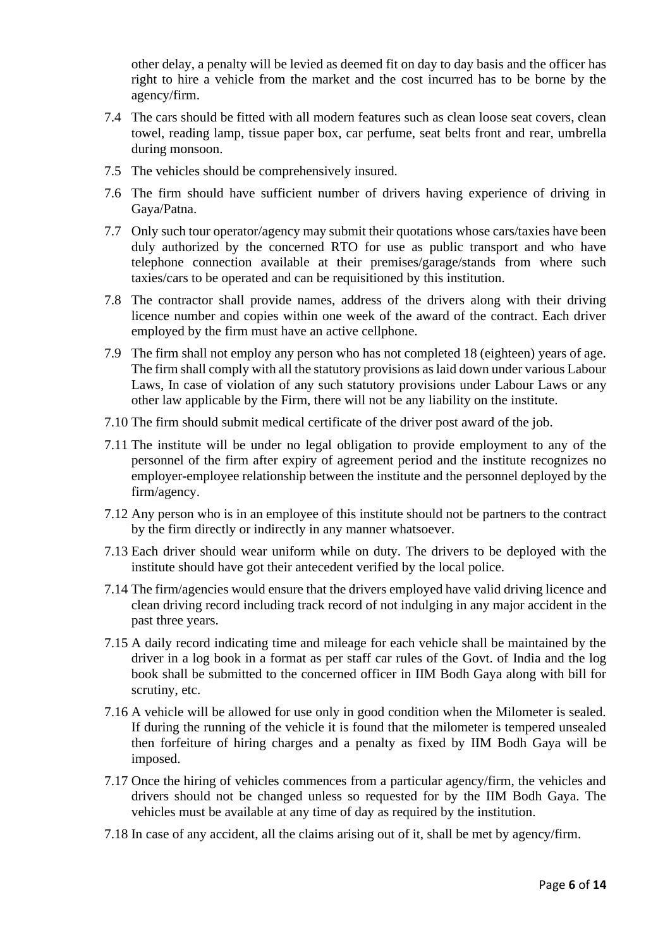other delay, a penalty will be levied as deemed fit on day to day basis and the officer has right to hire a vehicle from the market and the cost incurred has to be borne by the agency/firm.

- 7.4 The cars should be fitted with all modern features such as clean loose seat covers, clean towel, reading lamp, tissue paper box, car perfume, seat belts front and rear, umbrella during monsoon.
- 7.5 The vehicles should be comprehensively insured.
- 7.6 The firm should have sufficient number of drivers having experience of driving in Gaya/Patna.
- 7.7 Only such tour operator/agency may submit their quotations whose cars/taxies have been duly authorized by the concerned RTO for use as public transport and who have telephone connection available at their premises/garage/stands from where such taxies/cars to be operated and can be requisitioned by this institution.
- 7.8 The contractor shall provide names, address of the drivers along with their driving licence number and copies within one week of the award of the contract. Each driver employed by the firm must have an active cellphone.
- 7.9 The firm shall not employ any person who has not completed 18 (eighteen) years of age. The firm shall comply with all the statutory provisions as laid down under various Labour Laws, In case of violation of any such statutory provisions under Labour Laws or any other law applicable by the Firm, there will not be any liability on the institute.
- 7.10 The firm should submit medical certificate of the driver post award of the job.
- 7.11 The institute will be under no legal obligation to provide employment to any of the personnel of the firm after expiry of agreement period and the institute recognizes no employer-employee relationship between the institute and the personnel deployed by the firm/agency.
- 7.12 Any person who is in an employee of this institute should not be partners to the contract by the firm directly or indirectly in any manner whatsoever.
- 7.13 Each driver should wear uniform while on duty. The drivers to be deployed with the institute should have got their antecedent verified by the local police.
- 7.14 The firm/agencies would ensure that the drivers employed have valid driving licence and clean driving record including track record of not indulging in any major accident in the past three years.
- 7.15 A daily record indicating time and mileage for each vehicle shall be maintained by the driver in a log book in a format as per staff car rules of the Govt. of India and the log book shall be submitted to the concerned officer in IIM Bodh Gaya along with bill for scrutiny, etc.
- 7.16 A vehicle will be allowed for use only in good condition when the Milometer is sealed. If during the running of the vehicle it is found that the milometer is tempered unsealed then forfeiture of hiring charges and a penalty as fixed by IIM Bodh Gaya will be imposed.
- 7.17 Once the hiring of vehicles commences from a particular agency/firm, the vehicles and drivers should not be changed unless so requested for by the IIM Bodh Gaya. The vehicles must be available at any time of day as required by the institution.
- 7.18 In case of any accident, all the claims arising out of it, shall be met by agency/firm.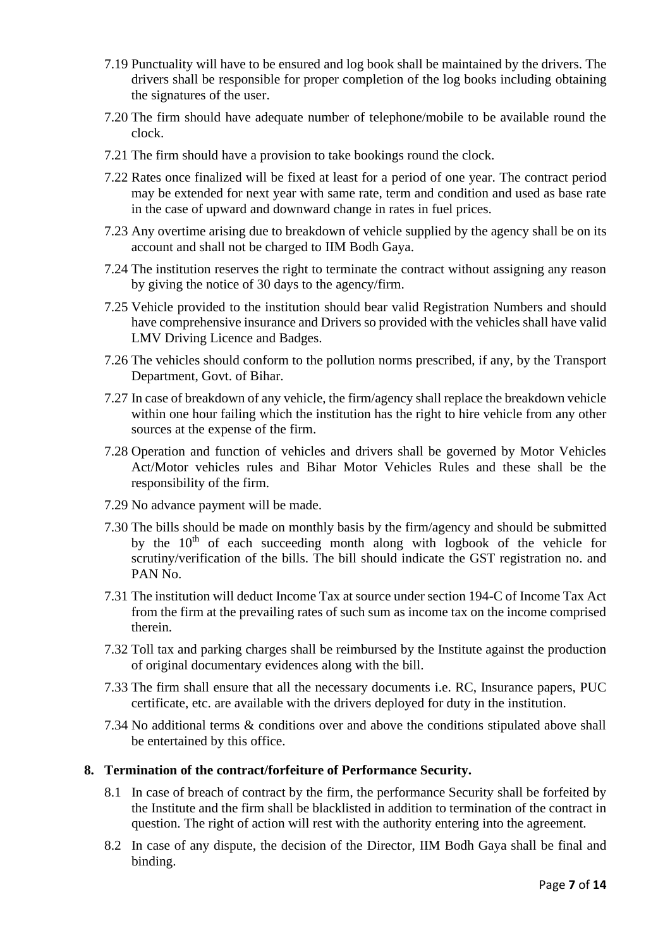- 7.19 Punctuality will have to be ensured and log book shall be maintained by the drivers. The drivers shall be responsible for proper completion of the log books including obtaining the signatures of the user.
- 7.20 The firm should have adequate number of telephone/mobile to be available round the clock.
- 7.21 The firm should have a provision to take bookings round the clock.
- 7.22 Rates once finalized will be fixed at least for a period of one year. The contract period may be extended for next year with same rate, term and condition and used as base rate in the case of upward and downward change in rates in fuel prices.
- 7.23 Any overtime arising due to breakdown of vehicle supplied by the agency shall be on its account and shall not be charged to IIM Bodh Gaya.
- 7.24 The institution reserves the right to terminate the contract without assigning any reason by giving the notice of 30 days to the agency/firm.
- 7.25 Vehicle provided to the institution should bear valid Registration Numbers and should have comprehensive insurance and Drivers so provided with the vehicles shall have valid LMV Driving Licence and Badges.
- 7.26 The vehicles should conform to the pollution norms prescribed, if any, by the Transport Department, Govt. of Bihar.
- 7.27 In case of breakdown of any vehicle, the firm/agency shall replace the breakdown vehicle within one hour failing which the institution has the right to hire vehicle from any other sources at the expense of the firm.
- 7.28 Operation and function of vehicles and drivers shall be governed by Motor Vehicles Act/Motor vehicles rules and Bihar Motor Vehicles Rules and these shall be the responsibility of the firm.
- 7.29 No advance payment will be made.
- 7.30 The bills should be made on monthly basis by the firm/agency and should be submitted by the  $10<sup>th</sup>$  of each succeeding month along with logbook of the vehicle for scrutiny/verification of the bills. The bill should indicate the GST registration no. and PAN No.
- 7.31 The institution will deduct Income Tax at source under section 194-C of Income Tax Act from the firm at the prevailing rates of such sum as income tax on the income comprised therein.
- 7.32 Toll tax and parking charges shall be reimbursed by the Institute against the production of original documentary evidences along with the bill.
- 7.33 The firm shall ensure that all the necessary documents i.e. RC, Insurance papers, PUC certificate, etc. are available with the drivers deployed for duty in the institution.
- 7.34 No additional terms & conditions over and above the conditions stipulated above shall be entertained by this office.

#### **8. Termination of the contract/forfeiture of Performance Security.**

- 8.1 In case of breach of contract by the firm, the performance Security shall be forfeited by the Institute and the firm shall be blacklisted in addition to termination of the contract in question. The right of action will rest with the authority entering into the agreement.
- 8.2 In case of any dispute, the decision of the Director, IIM Bodh Gaya shall be final and binding.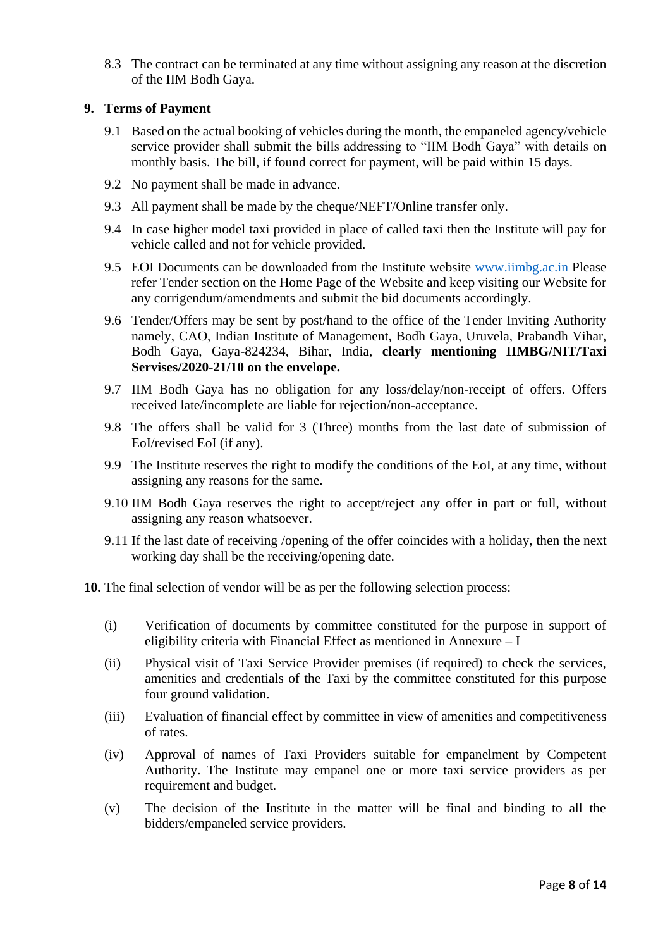8.3 The contract can be terminated at any time without assigning any reason at the discretion of the IIM Bodh Gaya.

## **9. Terms of Payment**

- 9.1 Based on the actual booking of vehicles during the month, the empaneled agency/vehicle service provider shall submit the bills addressing to "IIM Bodh Gaya" with details on monthly basis. The bill, if found correct for payment, will be paid within 15 days.
- 9.2 No payment shall be made in advance.
- 9.3 All payment shall be made by the cheque/NEFT/Online transfer only.
- 9.4 In case higher model taxi provided in place of called taxi then the Institute will pay for vehicle called and not for vehicle provided.
- 9.5 EOI Documents can be downloaded from the Institute website [www.iimbg.ac.in](http://www.iimbg.ac.in/) Please refer Tender section on the Home Page of the Website and keep visiting our Website for any corrigendum/amendments and submit the bid documents accordingly.
- 9.6 Tender/Offers may be sent by post/hand to the office of the Tender Inviting Authority namely, CAO, Indian Institute of Management, Bodh Gaya, Uruvela, Prabandh Vihar, Bodh Gaya, Gaya-824234, Bihar, India, **clearly mentioning IIMBG/NIT/Taxi Servises/2020-21/10 on the envelope.**
- 9.7 IIM Bodh Gaya has no obligation for any loss/delay/non-receipt of offers. Offers received late/incomplete are liable for rejection/non-acceptance.
- 9.8 The offers shall be valid for 3 (Three) months from the last date of submission of EoI/revised EoI (if any).
- 9.9 The Institute reserves the right to modify the conditions of the EoI, at any time, without assigning any reasons for the same.
- 9.10 IIM Bodh Gaya reserves the right to accept/reject any offer in part or full, without assigning any reason whatsoever.
- 9.11 If the last date of receiving /opening of the offer coincides with a holiday, then the next working day shall be the receiving/opening date.
- **10.** The final selection of vendor will be as per the following selection process:
	- (i) Verification of documents by committee constituted for the purpose in support of eligibility criteria with Financial Effect as mentioned in Annexure – I
	- (ii) Physical visit of Taxi Service Provider premises (if required) to check the services, amenities and credentials of the Taxi by the committee constituted for this purpose four ground validation.
	- (iii) Evaluation of financial effect by committee in view of amenities and competitiveness of rates.
	- (iv) Approval of names of Taxi Providers suitable for empanelment by Competent Authority. The Institute may empanel one or more taxi service providers as per requirement and budget.
	- (v) The decision of the Institute in the matter will be final and binding to all the bidders/empaneled service providers.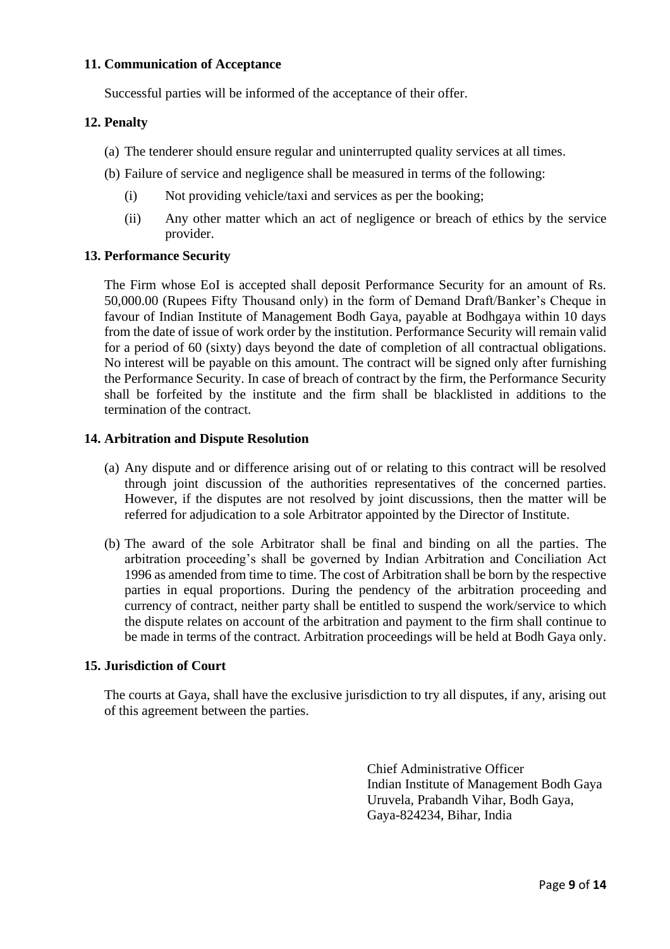#### **11. Communication of Acceptance**

Successful parties will be informed of the acceptance of their offer.

#### **12. Penalty**

- (a) The tenderer should ensure regular and uninterrupted quality services at all times.
- (b) Failure of service and negligence shall be measured in terms of the following:
	- (i) Not providing vehicle/taxi and services as per the booking;
	- (ii) Any other matter which an act of negligence or breach of ethics by the service provider.

## **13. Performance Security**

The Firm whose EoI is accepted shall deposit Performance Security for an amount of Rs. 50,000.00 (Rupees Fifty Thousand only) in the form of Demand Draft/Banker's Cheque in favour of Indian Institute of Management Bodh Gaya, payable at Bodhgaya within 10 days from the date of issue of work order by the institution. Performance Security will remain valid for a period of 60 (sixty) days beyond the date of completion of all contractual obligations. No interest will be payable on this amount. The contract will be signed only after furnishing the Performance Security. In case of breach of contract by the firm, the Performance Security shall be forfeited by the institute and the firm shall be blacklisted in additions to the termination of the contract.

#### **14. Arbitration and Dispute Resolution**

- (a) Any dispute and or difference arising out of or relating to this contract will be resolved through joint discussion of the authorities representatives of the concerned parties. However, if the disputes are not resolved by joint discussions, then the matter will be referred for adjudication to a sole Arbitrator appointed by the Director of Institute.
- (b) The award of the sole Arbitrator shall be final and binding on all the parties. The arbitration proceeding's shall be governed by Indian Arbitration and Conciliation Act 1996 as amended from time to time. The cost of Arbitration shall be born by the respective parties in equal proportions. During the pendency of the arbitration proceeding and currency of contract, neither party shall be entitled to suspend the work/service to which the dispute relates on account of the arbitration and payment to the firm shall continue to be made in terms of the contract. Arbitration proceedings will be held at Bodh Gaya only.

#### **15. Jurisdiction of Court**

The courts at Gaya, shall have the exclusive jurisdiction to try all disputes, if any, arising out of this agreement between the parties.

> Chief Administrative Officer Indian Institute of Management Bodh Gaya Uruvela, Prabandh Vihar, Bodh Gaya, Gaya-824234, Bihar, India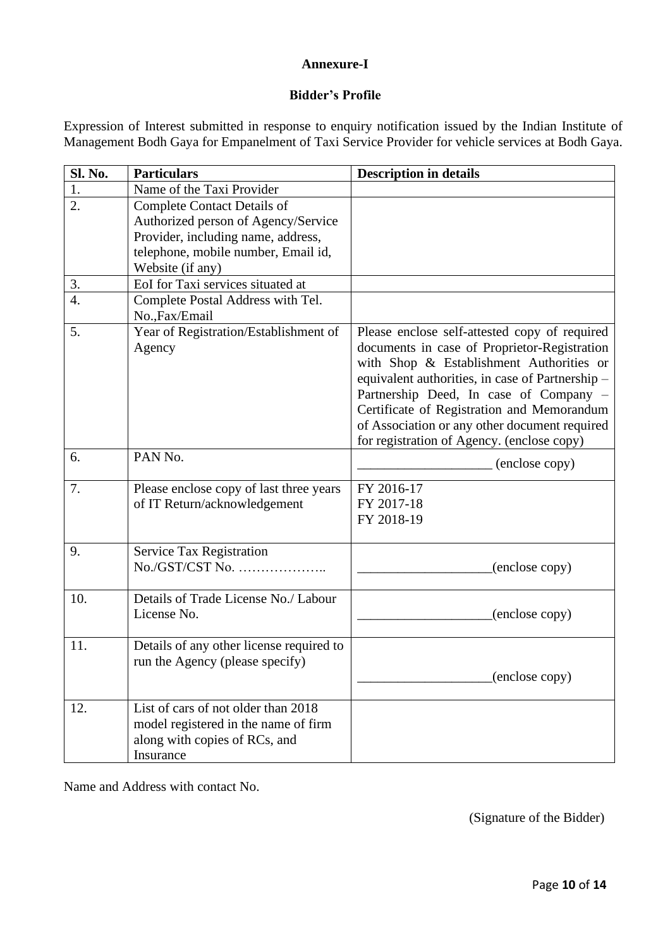#### **Annexure-I**

## **Bidder's Profile**

Expression of Interest submitted in response to enquiry notification issued by the Indian Institute of Management Bodh Gaya for Empanelment of Taxi Service Provider for vehicle services at Bodh Gaya.

| Sl. No.          | <b>Particulars</b>                       | <b>Description in details</b>                    |
|------------------|------------------------------------------|--------------------------------------------------|
| 1.               | Name of the Taxi Provider                |                                                  |
| 2.               | <b>Complete Contact Details of</b>       |                                                  |
|                  | Authorized person of Agency/Service      |                                                  |
|                  | Provider, including name, address,       |                                                  |
|                  | telephone, mobile number, Email id,      |                                                  |
|                  | Website (if any)                         |                                                  |
| 3.               | EoI for Taxi services situated at        |                                                  |
| $\overline{4}$ . | Complete Postal Address with Tel.        |                                                  |
|                  | No., Fax/Email                           |                                                  |
| 5.               | Year of Registration/Establishment of    | Please enclose self-attested copy of required    |
|                  | Agency                                   | documents in case of Proprietor-Registration     |
|                  |                                          | with Shop & Establishment Authorities or         |
|                  |                                          | equivalent authorities, in case of Partnership - |
|                  |                                          | Partnership Deed, In case of Company -           |
|                  |                                          | Certificate of Registration and Memorandum       |
|                  |                                          | of Association or any other document required    |
|                  |                                          | for registration of Agency. (enclose copy)       |
| 6.               | PAN No.                                  | (enclose copy)                                   |
|                  |                                          |                                                  |
| 7.               | Please enclose copy of last three years  | FY 2016-17                                       |
|                  | of IT Return/acknowledgement             | FY 2017-18                                       |
|                  |                                          | FY 2018-19                                       |
| 9.               |                                          |                                                  |
|                  | Service Tax Registration                 |                                                  |
|                  |                                          | (enclose copy)                                   |
| 10.              | Details of Trade License No./ Labour     |                                                  |
|                  | License No.                              | (enclose copy)                                   |
|                  |                                          |                                                  |
| 11.              | Details of any other license required to |                                                  |
|                  | run the Agency (please specify)          |                                                  |
|                  |                                          | (enclose copy)                                   |
|                  |                                          |                                                  |
| 12.              | List of cars of not older than 2018      |                                                  |
|                  | model registered in the name of firm     |                                                  |
|                  | along with copies of RCs, and            |                                                  |
|                  | Insurance                                |                                                  |

Name and Address with contact No.

(Signature of the Bidder)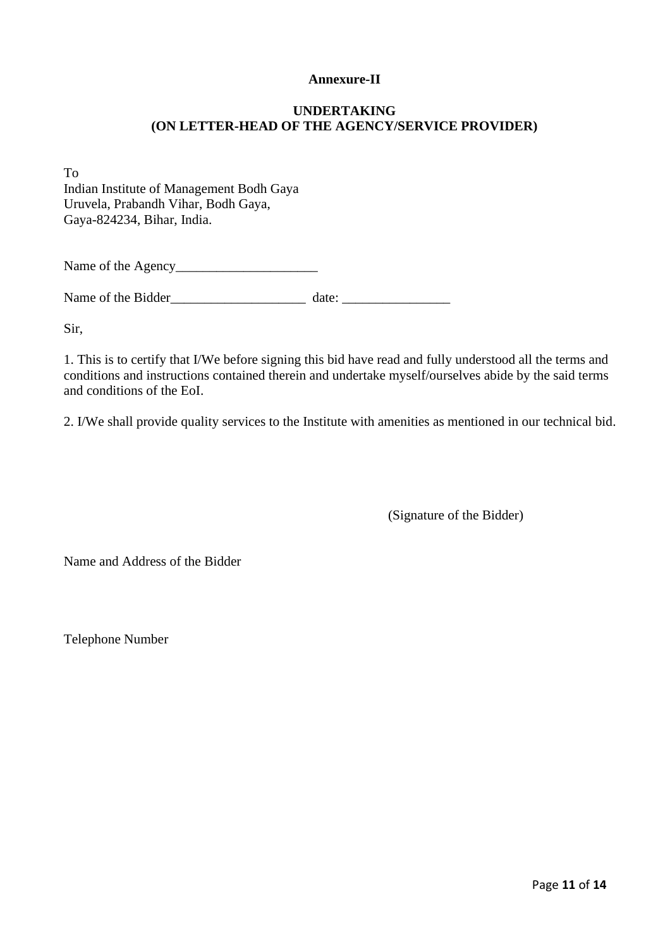## **Annexure-II**

## **UNDERTAKING (ON LETTER-HEAD OF THE AGENCY/SERVICE PROVIDER)**

To Indian Institute of Management Bodh Gaya Uruvela, Prabandh Vihar, Bodh Gaya, Gaya-824234, Bihar, India.

Name of the Agency\_\_\_\_\_\_\_\_\_\_\_\_\_\_\_\_\_\_\_\_\_

Name of the Bidder\_\_\_\_\_\_\_\_\_\_\_\_\_\_\_\_\_\_\_\_ date: \_\_\_\_\_\_\_\_\_\_\_\_\_\_\_\_

Sir,

1. This is to certify that I/We before signing this bid have read and fully understood all the terms and conditions and instructions contained therein and undertake myself/ourselves abide by the said terms and conditions of the EoI.

2. I/We shall provide quality services to the Institute with amenities as mentioned in our technical bid.

(Signature of the Bidder)

Name and Address of the Bidder

Telephone Number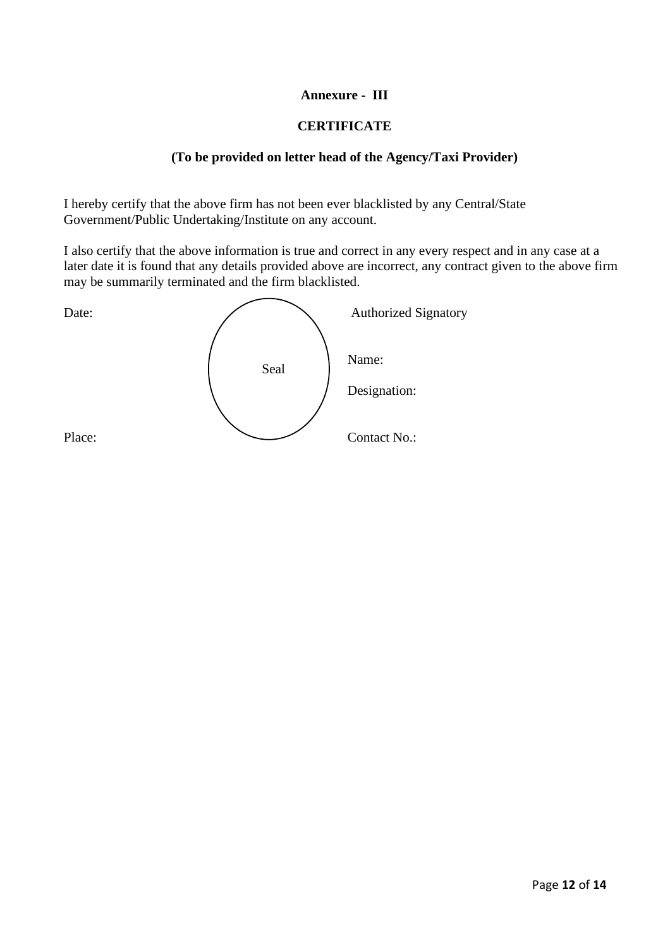## **Annexure - III**

## **CERTIFICATE**

## **(To be provided on letter head of the Agency/Taxi Provider)**

I hereby certify that the above firm has not been ever blacklisted by any Central/State Government/Public Undertaking/Institute on any account.

I also certify that the above information is true and correct in any every respect and in any case at a later date it is found that any details provided above are incorrect, any contract given to the above firm may be summarily terminated and the firm blacklisted.

Date: **Authorized Signatory** Name: Designation: Place: Contact No.: Seal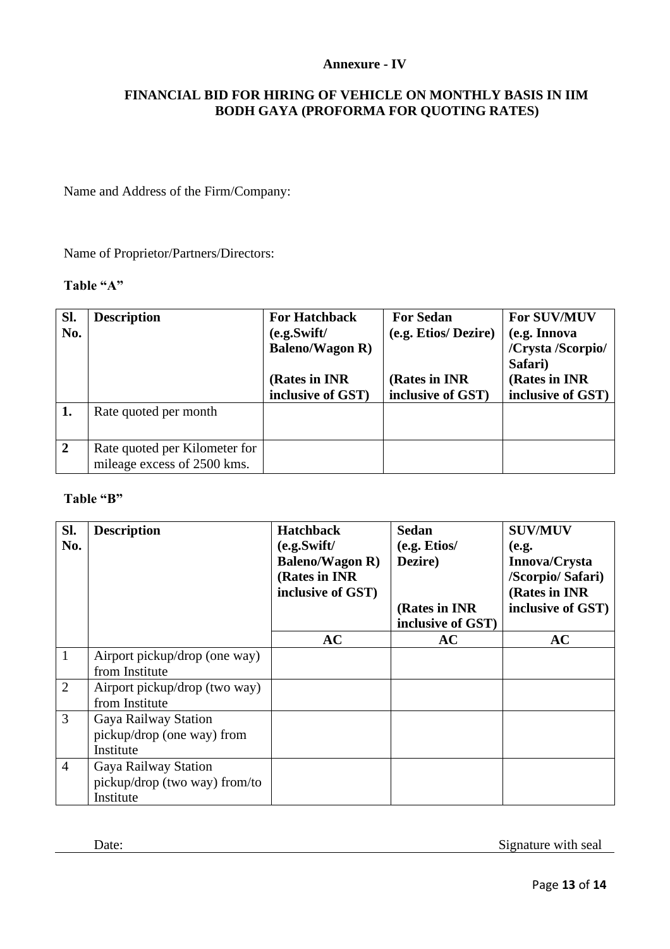## **Annexure - IV**

## **FINANCIAL BID FOR HIRING OF VEHICLE ON MONTHLY BASIS IN IIM BODH GAYA (PROFORMA FOR QUOTING RATES)**

Name and Address of the Firm/Company:

Name of Proprietor/Partners/Directors:

## **Table "A"**

| Sl.<br>No.     | <b>Description</b>                                           | <b>For Hatchback</b><br>(e.g. Swift/<br><b>Baleno/Wagon R)</b><br>(Rates in INR)<br>inclusive of GST) | <b>For Sedan</b><br>(e.g. Etios/Dezire)<br>(Rates in INR)<br>inclusive of GST) | <b>For SUV/MUV</b><br>(e.g. Innova<br>/Crysta /Scorpio/<br>Safari)<br>(Rates in INR)<br>inclusive of GST) |
|----------------|--------------------------------------------------------------|-------------------------------------------------------------------------------------------------------|--------------------------------------------------------------------------------|-----------------------------------------------------------------------------------------------------------|
| 1.             | Rate quoted per month                                        |                                                                                                       |                                                                                |                                                                                                           |
| $\overline{2}$ | Rate quoted per Kilometer for<br>mileage excess of 2500 kms. |                                                                                                       |                                                                                |                                                                                                           |

#### **Table "B"**

| Sl.<br>No.     | <b>Description</b>            | <b>Hatchback</b><br>(e.g. Swift/<br><b>Baleno/Wagon R)</b><br>(Rates in INR<br>inclusive of GST) | <b>Sedan</b><br>(e.g. Etios/<br>Dezire)<br>(Rates in INR) | <b>SUV/MUV</b><br>(e.g.<br>Innova/Crysta<br>/Scorpio/ Safari)<br>(Rates in INR)<br>inclusive of GST) |
|----------------|-------------------------------|--------------------------------------------------------------------------------------------------|-----------------------------------------------------------|------------------------------------------------------------------------------------------------------|
|                |                               |                                                                                                  | inclusive of GST)                                         |                                                                                                      |
|                |                               | AC                                                                                               | AC                                                        | AC                                                                                                   |
| $\overline{1}$ | Airport pickup/drop (one way) |                                                                                                  |                                                           |                                                                                                      |
|                | from Institute                |                                                                                                  |                                                           |                                                                                                      |
| $\overline{2}$ | Airport pickup/drop (two way) |                                                                                                  |                                                           |                                                                                                      |
|                | from Institute                |                                                                                                  |                                                           |                                                                                                      |
| 3              | Gaya Railway Station          |                                                                                                  |                                                           |                                                                                                      |
|                | pickup/drop (one way) from    |                                                                                                  |                                                           |                                                                                                      |
|                | Institute                     |                                                                                                  |                                                           |                                                                                                      |
| $\overline{4}$ | Gaya Railway Station          |                                                                                                  |                                                           |                                                                                                      |
|                | pickup/drop (two way) from/to |                                                                                                  |                                                           |                                                                                                      |
|                | Institute                     |                                                                                                  |                                                           |                                                                                                      |

Date: Signature with seal